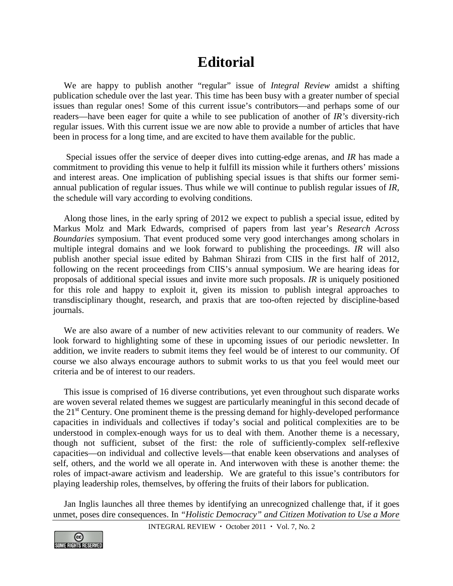## **Editorial**

We are happy to publish another "regular" issue of *Integral Review* amidst a shifting publication schedule over the last year. This time has been busy with a greater number of special issues than regular ones! Some of this current issue's contributors—and perhaps some of our readers—have been eager for quite a while to see publication of another of *IR's* diversity-rich regular issues. With this current issue we are now able to provide a number of articles that have been in process for a long time, and are excited to have them available for the public.

Special issues offer the service of deeper dives into cutting-edge arenas, and *IR* has made a commitment to providing this venue to help it fulfill its mission while it furthers others' missions and interest areas. One implication of publishing special issues is that shifts our former semiannual publication of regular issues. Thus while we will continue to publish regular issues of *IR,* the schedule will vary according to evolving conditions.

Along those lines, in the early spring of 2012 we expect to publish a special issue, edited by Markus Molz and Mark Edwards, comprised of papers from last year's *Research Across Boundaries* symposium. That event produced some very good interchanges among scholars in multiple integral domains and we look forward to publishing the proceedings. *IR* will also publish another special issue edited by Bahman Shirazi from CIIS in the first half of 2012, following on the recent proceedings from CIIS's annual symposium. We are hearing ideas for proposals of additional special issues and invite more such proposals. *IR* is uniquely positioned for this role and happy to exploit it, given its mission to publish integral approaches to transdisciplinary thought, research, and praxis that are too-often rejected by discipline-based journals.

We are also aware of a number of new activities relevant to our community of readers. We look forward to highlighting some of these in upcoming issues of our periodic newsletter. In addition, we invite readers to submit items they feel would be of interest to our community. Of course we also always encourage authors to submit works to us that you feel would meet our criteria and be of interest to our readers.

This issue is comprised of 16 diverse contributions, yet even throughout such disparate works are woven several related themes we suggest are particularly meaningful in this second decade of the  $21<sup>st</sup>$  Century. One prominent theme is the pressing demand for highly-developed performance capacities in individuals and collectives if today's social and political complexities are to be understood in complex-enough ways for us to deal with them. Another theme is a necessary, though not sufficient, subset of the first: the role of sufficiently-complex self-reflexive capacities—on individual and collective levels—that enable keen observations and analyses of self, others, and the world we all operate in. And interwoven with these is another theme: the roles of impact-aware activism and leadership. We are grateful to this issue's contributors for playing leadership roles, themselves, by offering the fruits of their labors for publication.

Jan Inglis launches all three themes by identifying an unrecognized challenge that, if it goes unmet, poses dire consequences. In *"Holistic Democracy" and Citizen Motivation to Use a More* 

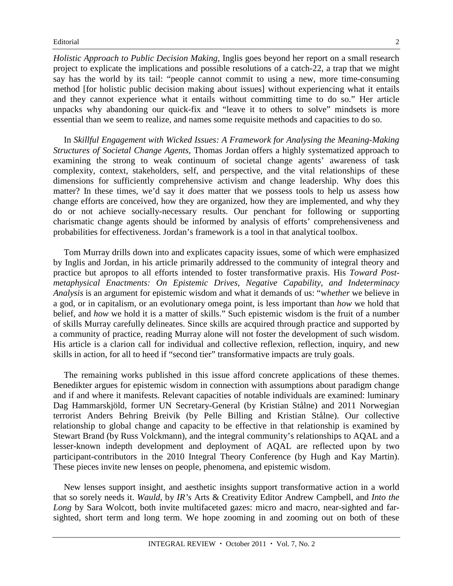*Holistic Approach to Public Decision Making*, Inglis goes beyond her report on a small research project to explicate the implications and possible resolutions of a catch-22, a trap that we might say has the world by its tail: "people cannot commit to using a new, more time-consuming method [for holistic public decision making about issues] without experiencing what it entails and they cannot experience what it entails without committing time to do so." Her article unpacks why abandoning our quick-fix and "leave it to others to solve" mindsets is more essential than we seem to realize, and names some requisite methods and capacities to do so.

In *Skillful Engagement with Wicked Issues: A Framework for Analysing the Meaning-Making Structures of Societal Change Agents,* Thomas Jordan offers a highly systematized approach to examining the strong to weak continuum of societal change agents' awareness of task complexity, context, stakeholders, self, and perspective, and the vital relationships of these dimensions for sufficiently comprehensive activism and change leadership. Why does this matter? In these times, we'd say it *does* matter that we possess tools to help us assess how change efforts are conceived, how they are organized, how they are implemented, and why they do or not achieve socially-necessary results. Our penchant for following or supporting charismatic change agents should be informed by analysis of efforts' comprehensiveness and probabilities for effectiveness. Jordan's framework is a tool in that analytical toolbox.

Tom Murray drills down into and explicates capacity issues, some of which were emphasized by Inglis and Jordan, in his article primarily addressed to the community of integral theory and practice but apropos to all efforts intended to foster transformative praxis. His *Toward Postmetaphysical Enactments: On Epistemic Drives, Negative Capability, and Indeterminacy Analysis* is an argument for epistemic wisdom and what it demands of us: "w*hether* we believe in a god, or in capitalism, or an evolutionary omega point, is less important than *how* we hold that belief, and *how* we hold it is a matter of skills." Such epistemic wisdom is the fruit of a number of skills Murray carefully delineates. Since skills are acquired through practice and supported by a community of practice, reading Murray alone will not foster the development of such wisdom. His article is a clarion call for individual and collective reflexion, reflection, inquiry, and new skills in action, for all to heed if "second tier" transformative impacts are truly goals.

The remaining works published in this issue afford concrete applications of these themes. Benedikter argues for epistemic wisdom in connection with assumptions about paradigm change and if and where it manifests. Relevant capacities of notable individuals are examined: luminary Dag Hammarskjöld, former UN Secretary-General (by Kristian Stålne) and 2011 Norwegian terrorist Anders Behring Breivik (by Pelle Billing and Kristian Stålne). Our collective relationship to global change and capacity to be effective in that relationship is examined by Stewart Brand (by Russ Volckmann), and the integral community's relationships to AQAL and a lesser-known indepth development and deployment of AQAL are reflected upon by two participant-contributors in the 2010 Integral Theory Conference (by Hugh and Kay Martin). These pieces invite new lenses on people, phenomena, and epistemic wisdom.

New lenses support insight, and aesthetic insights support transformative action in a world that so sorely needs it. *Wauld,* by *IR's* Arts & Creativity Editor Andrew Campbell, and *Into the Long* by Sara Wolcott, both invite multifaceted gazes: micro and macro, near-sighted and farsighted, short term and long term. We hope zooming in and zooming out on both of these